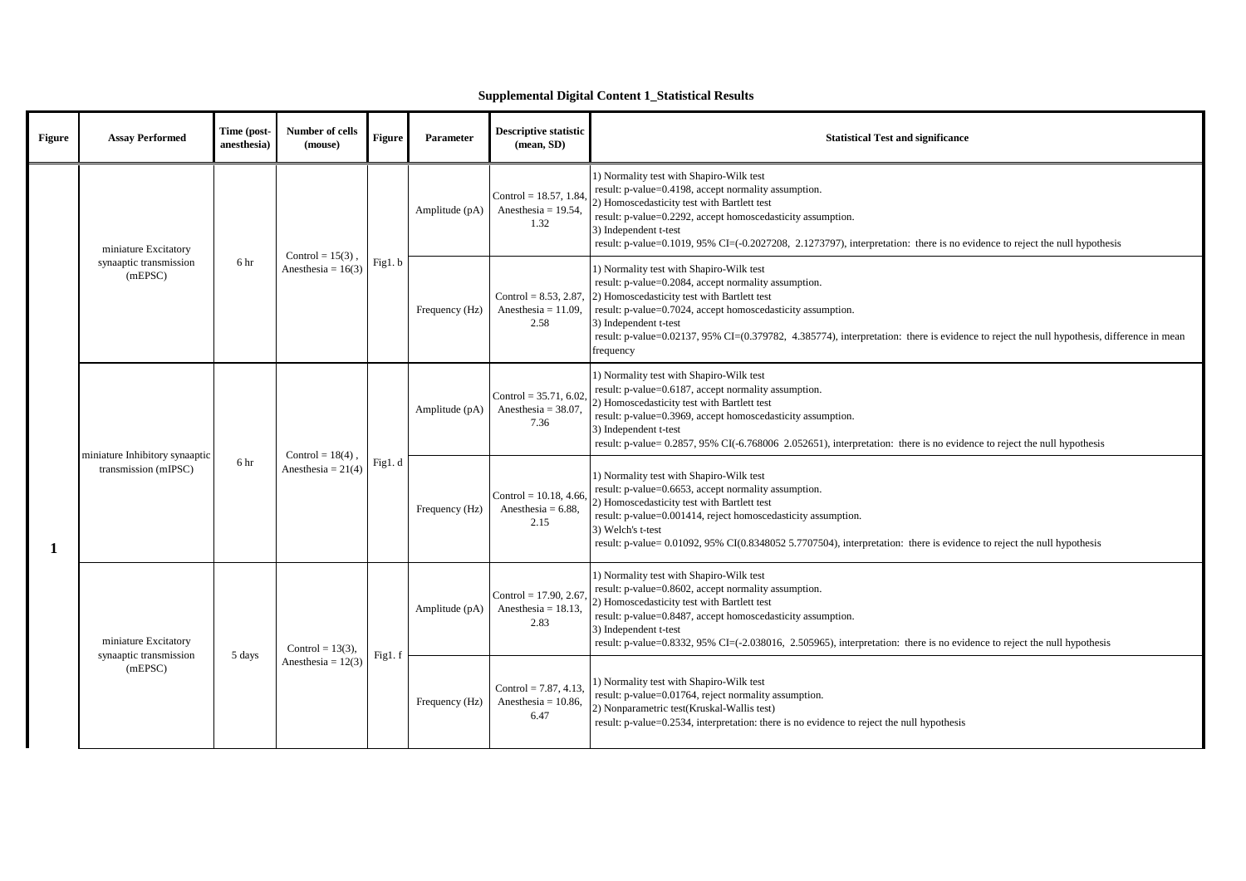## **Supplemental Digital Content 1\_Statistical Results**

| Figure | <b>Assay Performed</b>                                    | Time (post-<br>anesthesia) | Number of cells<br>(mouse)                  | Figure | Parameter      | <b>Descriptive statistic</b><br>(mean, SD)                 | <b>Statistical Test and significance</b>                                                                                                                                                                                                                                                                                                                                                          |
|--------|-----------------------------------------------------------|----------------------------|---------------------------------------------|--------|----------------|------------------------------------------------------------|---------------------------------------------------------------------------------------------------------------------------------------------------------------------------------------------------------------------------------------------------------------------------------------------------------------------------------------------------------------------------------------------------|
|        | miniature Excitatory                                      |                            |                                             | Fig1.b | Amplitude (pA) | Control = $18.57, 1.84$<br>Anesthesia = $19.54$ .<br>1.32  | 1) Normality test with Shapiro-Wilk test<br>result: p-value=0.4198, accept normality assumption.<br>2) Homoscedasticity test with Bartlett test<br>result: p-value=0.2292, accept homoscedasticity assumption.<br>3) Independent t-test<br>result: p-value=0.1019, 95% CI=(-0.2027208, 2.1273797), interpretation: there is no evidence to reject the null hypothesis                             |
|        | synaaptic transmission<br>6 hr<br>(mEPSC)                 |                            | Control = $15(3)$ .<br>Anesthesia = $16(3)$ |        | Frequency (Hz) | Control = $8.53$ , 2.87,<br>Anesthesia = $11.09$ ,<br>2.58 | 1) Normality test with Shapiro-Wilk test<br>result: p-value=0.2084, accept normality assumption.<br>2) Homoscedasticity test with Bartlett test<br>result: p-value=0.7024, accept homoscedasticity assumption.<br>3) Independent t-test<br>result: p-value=0.02137, 95% CI=(0.379782, 4.385774), interpretation: there is evidence to reject the null hypothesis, difference in mean<br>frequency |
|        |                                                           |                            | Control = $18(4)$ .<br>Anesthesia = $21(4)$ |        | Amplitude (pA) | Control = $35.71, 6.02$<br>Anesthesia = $38.07$ .<br>7.36  | 1) Normality test with Shapiro-Wilk test<br>result: p-value=0.6187, accept normality assumption.<br>2) Homoscedasticity test with Bartlett test<br>result: p-value=0.3969, accept homoscedasticity assumption.<br>3) Independent t-test<br>result: p-value= 0.2857, 95% CI(-6.768006 2.052651), interpretation: there is no evidence to reject the null hypothesis                                |
|        | miniature Inhibitory synaaptic<br>transmission (mIPSC)    | 6 hr                       |                                             | Fig1.d | Frequency (Hz) | Control = $10.18, 4.66$<br>Anesthesia = $6.88$ ,<br>2.15   | 1) Normality test with Shapiro-Wilk test<br>result: p-value=0.6653, accept normality assumption.<br>2) Homoscedasticity test with Bartlett test<br>result: p-value=0.001414, reject homoscedasticity assumption.<br>3) Welch's t-test<br>result: p-value= 0.01092, 95% CI(0.8348052 5.7707504), interpretation: there is evidence to reject the null hypothesis                                   |
|        | miniature Excitatory<br>synaaptic transmission<br>(mEPSC) | 5 days                     | Control = $13(3)$ ,<br>Anesthesia = $12(3)$ | Fig1.f | Amplitude (pA) | Control = $17.90, 2.67$<br>Anesthesia = $18.13$<br>2.83    | 1) Normality test with Shapiro-Wilk test<br>result: p-value=0.8602, accept normality assumption.<br>2) Homoscedasticity test with Bartlett test<br>result: p-value=0.8487, accept homoscedasticity assumption.<br>3) Independent t-test<br>result: p-value=0.8332, 95% CI=(-2.038016, 2.505965), interpretation: there is no evidence to reject the null hypothesis                               |
|        |                                                           |                            |                                             |        | Frequency (Hz) | Control = $7.87, 4.13$<br>Anesthesia = $10.86$ ,<br>6.47   | 1) Normality test with Shapiro-Wilk test<br>result: p-value=0.01764, reject normality assumption.<br>2) Nonparametric test(Kruskal-Wallis test)<br>result: p-value=0.2534, interpretation: there is no evidence to reject the null hypothesis                                                                                                                                                     |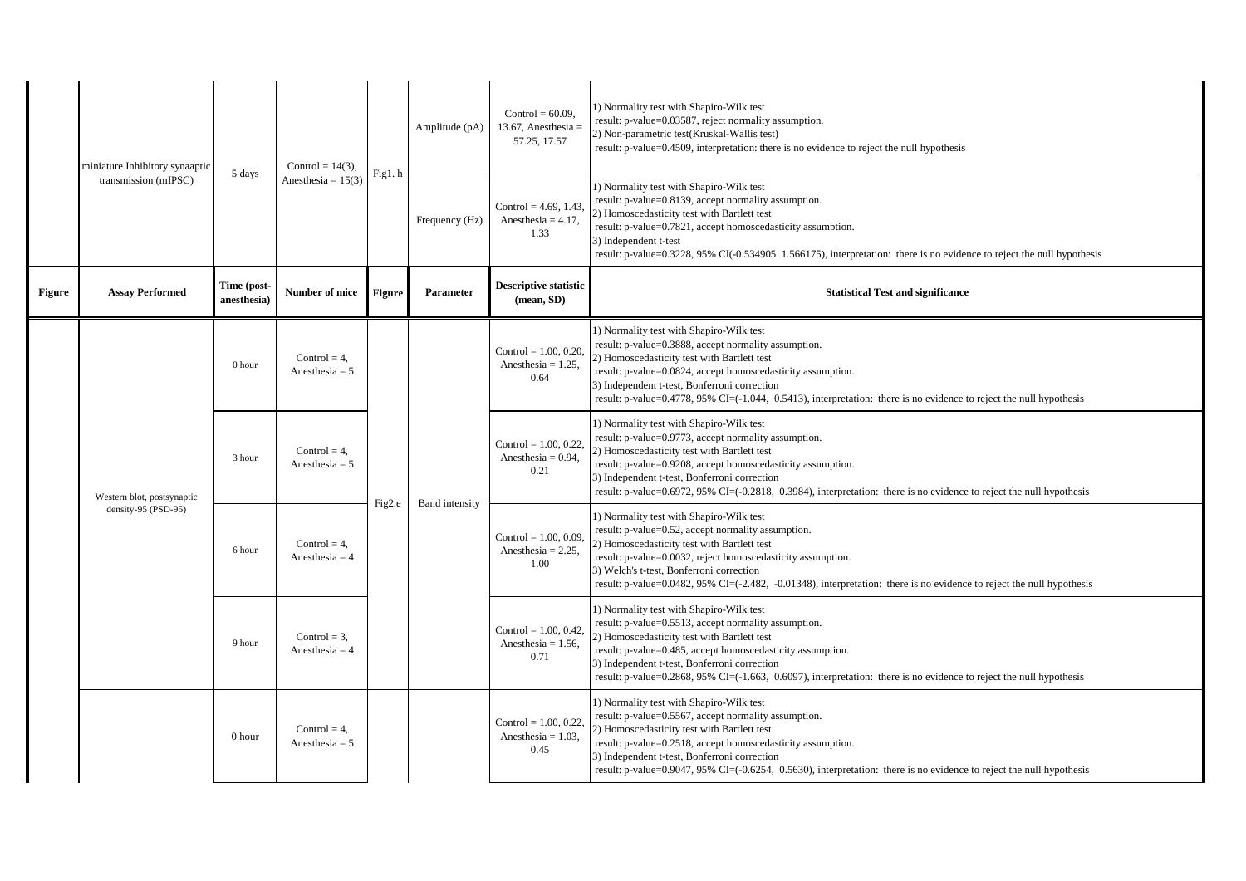|               | miniature Inhibitory synaaptic                    | 5 days                    | Control = $14(3)$ ,<br>Anesthesia = $15(3)$ | Fig1.h | Amplitude (pA)        | Control = $60.09$ .<br>13.67, Anesthesia $=$<br>57.25, 17.57 | 1) Normality test with Shapiro-Wilk test<br>result: p-value=0.03587, reject normality assumption.<br>2) Non-parametric test(Kruskal-Wallis test)<br>result: p-value=0.4509, interpretation: there is no evidence to reject the null hypothesis                                                                                                                                         |
|---------------|---------------------------------------------------|---------------------------|---------------------------------------------|--------|-----------------------|--------------------------------------------------------------|----------------------------------------------------------------------------------------------------------------------------------------------------------------------------------------------------------------------------------------------------------------------------------------------------------------------------------------------------------------------------------------|
|               | transmission (mIPSC)                              |                           |                                             |        | Frequency (Hz)        | Control = $4.69$ , 1.43<br>Anesthesia = $4.17$ ,<br>1.33     | 1) Normality test with Shapiro-Wilk test<br>result: p-value=0.8139, accept normality assumption.<br>2) Homoscedasticity test with Bartlett test<br>result: p-value=0.7821, accept homoscedasticity assumption.<br>3) Independent t-test<br>result: p-value=0.3228, 95% CI(-0.534905 1.566175), interpretation: there is no evidence to reject the null hypothesis                      |
| <b>Figure</b> | <b>Assay Performed</b>                            | Time (post-<br>anesthesia | Number of mice                              | Figure | Parameter             | <b>Descriptive statistic</b><br>(mean, SD)                   | <b>Statistical Test and significance</b>                                                                                                                                                                                                                                                                                                                                               |
|               |                                                   | 0 hour                    | Control = $4$ .<br>Anesthesia = $5$         |        |                       | Control = $1.00, 0.20$<br>Anesthesia = $1.25$ ,<br>0.64      | 1) Normality test with Shapiro-Wilk test<br>result: p-value=0.3888, accept normality assumption.<br>2) Homoscedasticity test with Bartlett test<br>result: p-value=0.0824, accept homoscedasticity assumption.<br>3) Independent t-test, Bonferroni correction<br>result: p-value=0.4778, 95% CI=(-1.044, 0.5413), interpretation: there is no evidence to reject the null hypothesis  |
|               | Western blot, postsynaptic<br>density-95 (PSD-95) | 3 hour                    | Control = $4$ .<br>Anesthesia = $5$         | Fig2.e | <b>Band</b> intensity | Control = $1.00, 0.22$<br>Anesthesia = $0.94$ ,<br>0.21      | 1) Normality test with Shapiro-Wilk test<br>result: p-value=0.9773, accept normality assumption.<br>2) Homoscedasticity test with Bartlett test<br>result: p-value=0.9208, accept homoscedasticity assumption.<br>3) Independent t-test, Bonferroni correction<br>result: p-value=0.6972, 95% CI=(-0.2818, 0.3984), interpretation: there is no evidence to reject the null hypothesis |
|               |                                                   | 6 hour                    | Control = $4$ ,<br>Anesthesia = $4$         |        |                       | Control = $1.00, 0.09$<br>Anesthesia = $2.25$ ,<br>1.00      | 1) Normality test with Shapiro-Wilk test<br>result: p-value=0.52, accept normality assumption.<br>2) Homoscedasticity test with Bartlett test<br>result: p-value=0.0032, reject homoscedasticity assumption.<br>3) Welch's t-test, Bonferroni correction<br>result: p-value=0.0482, 95% CI=(-2.482, -0.01348), interpretation: there is no evidence to reject the null hypothesis      |
|               |                                                   | 9 hour                    | Control = $3$ .<br>Anesthesia = $4$         |        |                       | Control = $1.00, 0.42$<br>Anesthesia = $1.56$ ,<br>0.71      | 1) Normality test with Shapiro-Wilk test<br>result: p-value=0.5513, accept normality assumption.<br>2) Homoscedasticity test with Bartlett test<br>result: p-value=0.485, accept homoscedasticity assumption.<br>3) Independent t-test, Bonferroni correction<br>result: p-value=0.2868, 95% CI=(-1.663, 0.6097), interpretation: there is no evidence to reject the null hypothesis   |
|               |                                                   | 0 hour                    | Control = $4$ .<br>Anesthesia = $5$         |        |                       | Control = $1.00, 0.22$<br>Anesthesia = $1.03$ ,<br>0.45      | 1) Normality test with Shapiro-Wilk test<br>result: p-value=0.5567, accept normality assumption.<br>2) Homoscedasticity test with Bartlett test<br>result: p-value=0.2518, accept homoscedasticity assumption.<br>3) Independent t-test, Bonferroni correction<br>result: p-value=0.9047, 95% CI=(-0.6254, 0.5630), interpretation: there is no evidence to reject the null hypothesis |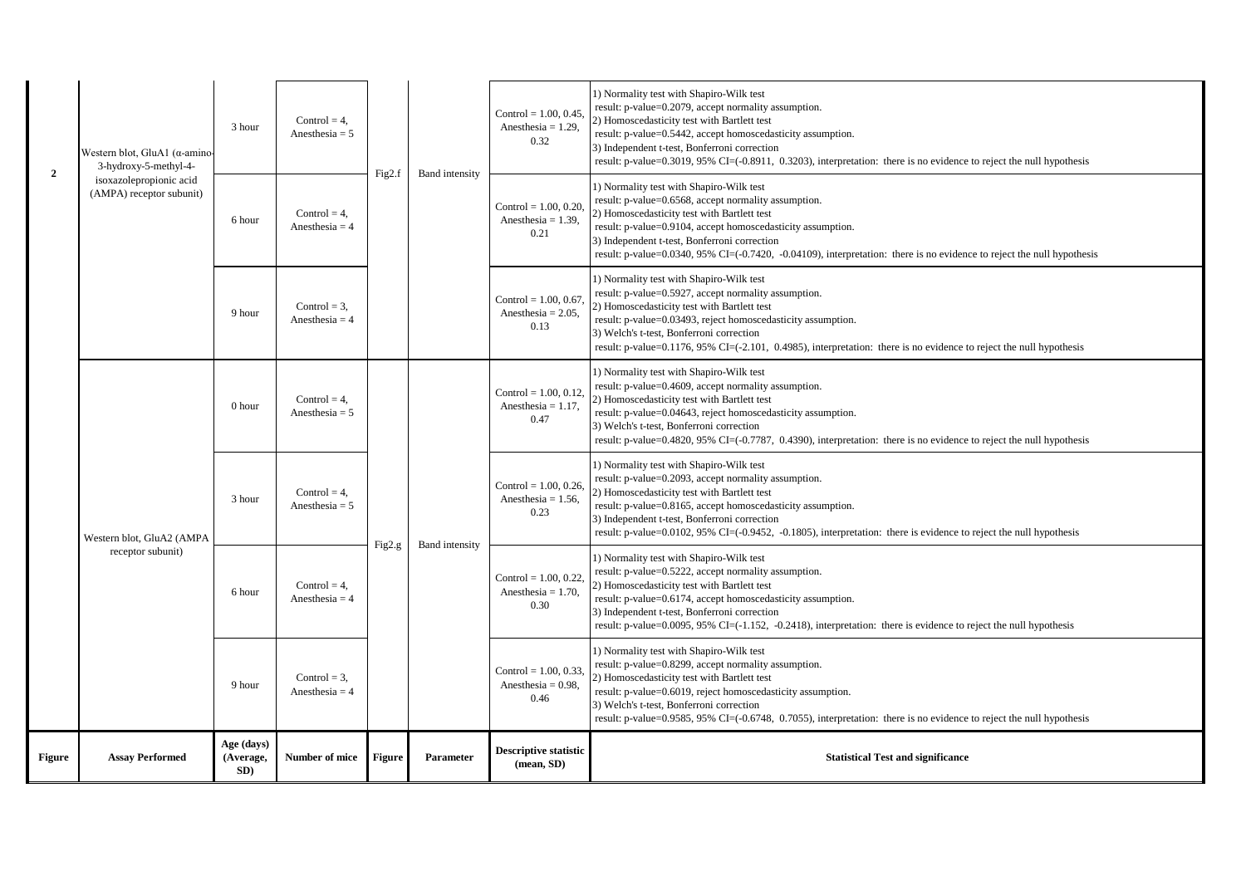| <b>Figure</b>  | <b>Assay Performed</b>                                          | Age (days)<br>(Average,<br>SD) | Number of mice                      | Figure | Parameter             | <b>Descriptive statistic</b><br>(mean, SD)                | <b>Statistical Test and significance</b>                                                                                                                                                                                                                                                                                                                                                 |
|----------------|-----------------------------------------------------------------|--------------------------------|-------------------------------------|--------|-----------------------|-----------------------------------------------------------|------------------------------------------------------------------------------------------------------------------------------------------------------------------------------------------------------------------------------------------------------------------------------------------------------------------------------------------------------------------------------------------|
|                | receptor subunit)                                               | 9 hour                         | Control = $3$ ,<br>Anesthesia = $4$ |        | <b>Band</b> intensity | Control = $1.00, 0.33$ ,<br>Anesthesia = $0.98$ ,<br>0.46 | 1) Normality test with Shapiro-Wilk test<br>result: p-value=0.8299, accept normality assumption.<br>2) Homoscedasticity test with Bartlett test<br>result: p-value=0.6019, reject homoscedasticity assumption.<br>3) Welch's t-test, Bonferroni correction<br>result: p-value=0.9585, 95% CI=(-0.6748, 0.7055), interpretation: there is no evidence to reject the null hypothesis       |
|                |                                                                 | 6 hour                         | Control = $4$ .<br>Anesthesia = $4$ | Fig2.g |                       | Control = $1.00, 0.22$ ,<br>Anesthesia = $1.70$ ,<br>0.30 | 1) Normality test with Shapiro-Wilk test<br>result: p-value=0.5222, accept normality assumption.<br>2) Homoscedasticity test with Bartlett test<br>result: p-value=0.6174, accept homoscedasticity assumption.<br>3) Independent t-test, Bonferroni correction<br>result: p-value=0.0095, 95% CI=(-1.152, -0.2418), interpretation: there is evidence to reject the null hypothesis      |
|                | Western blot, GluA2 (AMPA                                       | 3 hour                         | Control = $4$ ,<br>Anesthesia = $5$ |        |                       | Control = $1.00, 0.26$ .<br>Anesthesia = $1.56$ ,<br>0.23 | 1) Normality test with Shapiro-Wilk test<br>result: p-value=0.2093, accept normality assumption.<br>2) Homoscedasticity test with Bartlett test<br>result: p-value=0.8165, accept homoscedasticity assumption.<br>3) Independent t-test, Bonferroni correction<br>result: p-value=0.0102, 95% CI=(-0.9452, -0.1805), interpretation: there is evidence to reject the null hypothesis     |
|                |                                                                 | 0 hour                         | Control = $4$ .<br>Anesthesia = $5$ |        |                       | Control = $1.00, 0.12$ ,<br>Anesthesia = $1.17$ ,<br>0.47 | 1) Normality test with Shapiro-Wilk test<br>result: p-value=0.4609, accept normality assumption.<br>2) Homoscedasticity test with Bartlett test<br>result: p-value=0.04643, reject homoscedasticity assumption.<br>3) Welch's t-test, Bonferroni correction<br>result: p-value=0.4820, 95% CI=(-0.7787, 0.4390), interpretation: there is no evidence to reject the null hypothesis      |
|                |                                                                 | 9 hour                         | Control = $3$ ,<br>Anesthesia = $4$ |        |                       | Control = $1.00, 0.67$ .<br>Anesthesia = $2.05$ ,<br>0.13 | 1) Normality test with Shapiro-Wilk test<br>result: p-value=0.5927, accept normality assumption.<br>2) Homoscedasticity test with Bartlett test<br>result: p-value=0.03493, reject homoscedasticity assumption.<br>3) Welch's t-test, Bonferroni correction<br>result: p-value=0.1176, 95% CI=(-2.101, 0.4985), interpretation: there is no evidence to reject the null hypothesis       |
|                | isoxazolepropionic acid<br>(AMPA) receptor subunit)             | 6 hour                         | Control = $4$ .<br>Anesthesia = $4$ |        |                       | Control = $1.00, 0.20$ ,<br>Anesthesia = $1.39$ ,<br>0.21 | 1) Normality test with Shapiro-Wilk test<br>result: p-value=0.6568, accept normality assumption.<br>2) Homoscedasticity test with Bartlett test<br>result: p-value=0.9104, accept homoscedasticity assumption.<br>3) Independent t-test, Bonferroni correction<br>result: p-value=0.0340, 95% CI=(-0.7420, -0.04109), interpretation: there is no evidence to reject the null hypothesis |
| $\overline{2}$ | Western blot, GluA1 ( $\alpha$ -amino-<br>3-hydroxy-5-methyl-4- | 3 hour                         | Control = $4$ ,<br>Anesthesia = $5$ | Fig2.f | <b>Band</b> intensity | Control = $1.00, 0.45$ ,<br>Anesthesia = $1.29$ ,<br>0.32 | 1) Normality test with Shapiro-Wilk test<br>result: p-value=0.2079, accept normality assumption.<br>2) Homoscedasticity test with Bartlett test<br>result: p-value=0.5442, accept homoscedasticity assumption.<br>3) Independent t-test, Bonferroni correction<br>result: p-value=0.3019, 95% CI=(-0.8911, 0.3203), interpretation: there is no evidence to reject the null hypothesis   |
|                |                                                                 |                                |                                     |        |                       |                                                           |                                                                                                                                                                                                                                                                                                                                                                                          |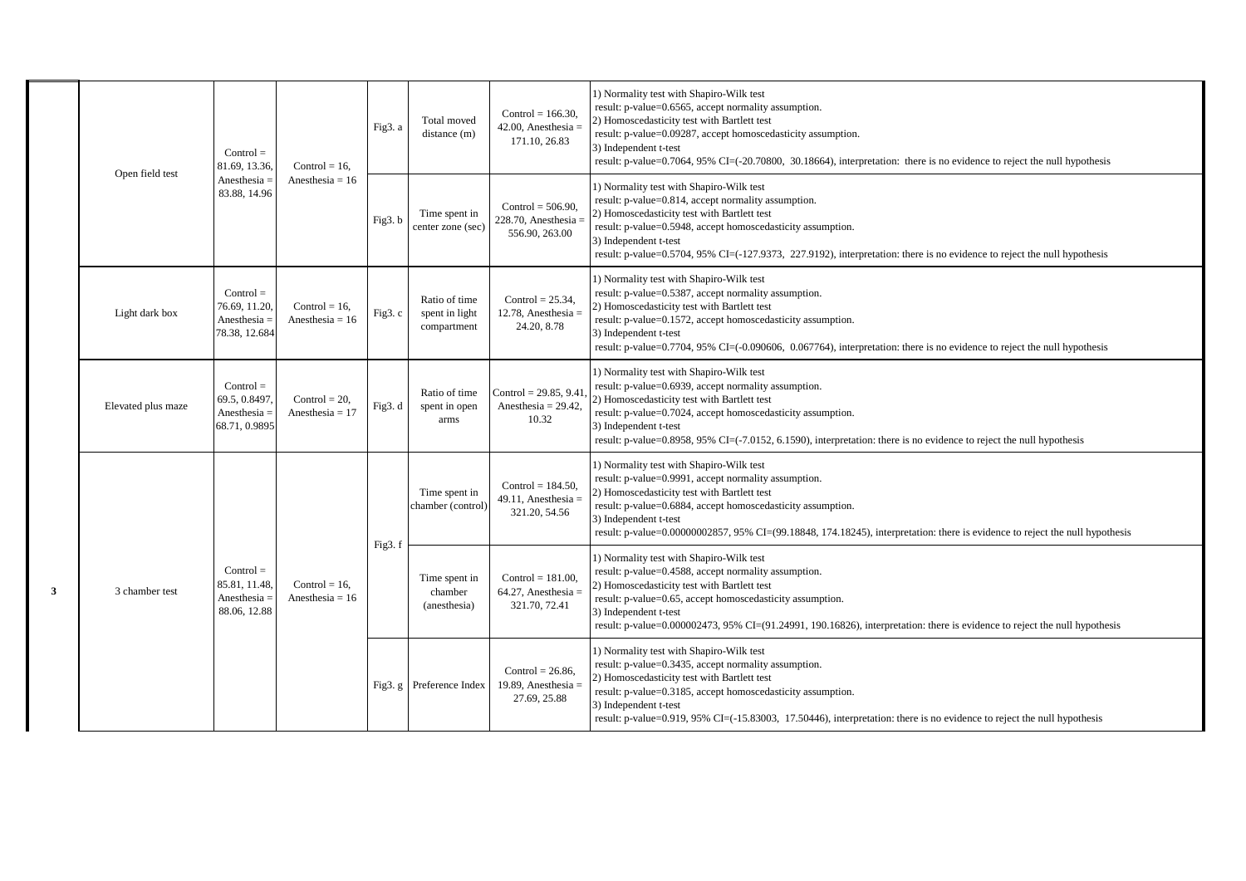|   |                    | $Control =$<br>81.69, 13.36,                                    | Control = $16$ ,<br>Anesthesia = $16$ | Fig3. a | Total moved<br>distance (m)                    | Control = $166.30$ .<br>$42.00$ , Anesthesia =<br>171.10, 26.83   | 1) Normality test with Shapiro-Wilk test<br>result: p-value=0.6565, accept normality assumption.<br>2) Homoscedasticity test with Bartlett test<br>result: p-value=0.09287, accept homoscedasticity assumption.<br>3) Independent t-test<br>result: p-value=0.7064, 95% CI=(-20.70800, 30.18664), interpretation: there is no evidence to reject the null hypothesis    |
|---|--------------------|-----------------------------------------------------------------|---------------------------------------|---------|------------------------------------------------|-------------------------------------------------------------------|-------------------------------------------------------------------------------------------------------------------------------------------------------------------------------------------------------------------------------------------------------------------------------------------------------------------------------------------------------------------------|
|   | Open field test    | Anesthesia $=$<br>83.88, 14.96                                  |                                       | Fig3.b  | Time spent in<br>center zone (sec)             | Control = $506.90$ ,<br>$228.70$ , Anesthesia =<br>556.90, 263.00 | 1) Normality test with Shapiro-Wilk test<br>result: p-value=0.814, accept normality assumption.<br>2) Homoscedasticity test with Bartlett test<br>result: p-value=0.5948, accept homoscedasticity assumption.<br>3) Independent t-test<br>result: p-value=0.5704, 95% CI=(-127.9373, 227.9192), interpretation: there is no evidence to reject the null hypothesis      |
|   | Light dark box     | $Control =$<br>76.69, 11.20,<br>Anesthesia $=$<br>78.38, 12.684 | Control = $16$ ,<br>Anesthesia = $16$ | Fig3. c | Ratio of time<br>spent in light<br>compartment | Control = $25.34$ .<br>$12.78$ , Anesthesia =<br>24.20, 8.78      | 1) Normality test with Shapiro-Wilk test<br>result: p-value=0.5387, accept normality assumption.<br>2) Homoscedasticity test with Bartlett test<br>result: p-value=0.1572, accept homoscedasticity assumption.<br>3) Independent t-test<br>result: p-value=0.7704, 95% CI=(-0.090606, 0.067764), interpretation: there is no evidence to reject the null hypothesis     |
|   | Elevated plus maze | $Control =$<br>69.5, 0.8497,<br>Anesthesia $=$<br>68.71, 0.9895 | Control = $20$ ,<br>Anesthesia = $17$ | Fig3. d | Ratio of time<br>spent in open<br>arms         | Control = $29.85, 9.41$<br>Anesthesia = $29.42$ ,<br>10.32        | 1) Normality test with Shapiro-Wilk test<br>result: p-value=0.6939, accept normality assumption.<br>2) Homoscedasticity test with Bartlett test<br>result: p-value=0.7024, accept homoscedasticity assumption.<br>3) Independent t-test<br>result: p-value=0.8958, 95% CI=(-7.0152, 6.1590), interpretation: there is no evidence to reject the null hypothesis         |
|   |                    |                                                                 | $Control = 16$ .<br>Anesthesia = $16$ | Fig3.f  | Time spent in<br>chamber (control)             | Control = $184.50$ ,<br>49.11, Anesthesia $=$<br>321.20, 54.56    | 1) Normality test with Shapiro-Wilk test<br>result: p-value=0.9991, accept normality assumption.<br>2) Homoscedasticity test with Bartlett test<br>result: p-value=0.6884, accept homoscedasticity assumption.<br>3) Independent t-test<br>result: p-value=0.00000002857, 95% CI=(99.18848, 174.18245), interpretation: there is evidence to reject the null hypothesis |
| 3 | 3 chamber test     | $Control =$<br>85.81, 11.48,<br>Anesthesia $=$<br>88.06, 12.88  |                                       |         | Time spent in<br>chamber<br>(anesthesia)       | Control = $181.00$ ,<br>$64.27$ , Anesthesia =<br>321.70, 72.41   | 1) Normality test with Shapiro-Wilk test<br>result: p-value=0.4588, accept normality assumption.<br>2) Homoscedasticity test with Bartlett test<br>result: p-value=0.65, accept homoscedasticity assumption.<br>3) Independent t-test<br>result: p-value=0.000002473, 95% CI=(91.24991, 190.16826), interpretation: there is evidence to reject the null hypothesis     |
|   |                    |                                                                 |                                       |         | Fig3. g Preference Index                       | Control = $26.86$ .<br>19.89, Anesthesia $=$<br>27.69, 25.88      | 1) Normality test with Shapiro-Wilk test<br>result: p-value=0.3435, accept normality assumption.<br>2) Homoscedasticity test with Bartlett test<br>result: p-value=0.3185, accept homoscedasticity assumption.<br>3) Independent t-test<br>result: p-value=0.919, 95% CI=(-15.83003, 17.50446), interpretation: there is no evidence to reject the null hypothesis      |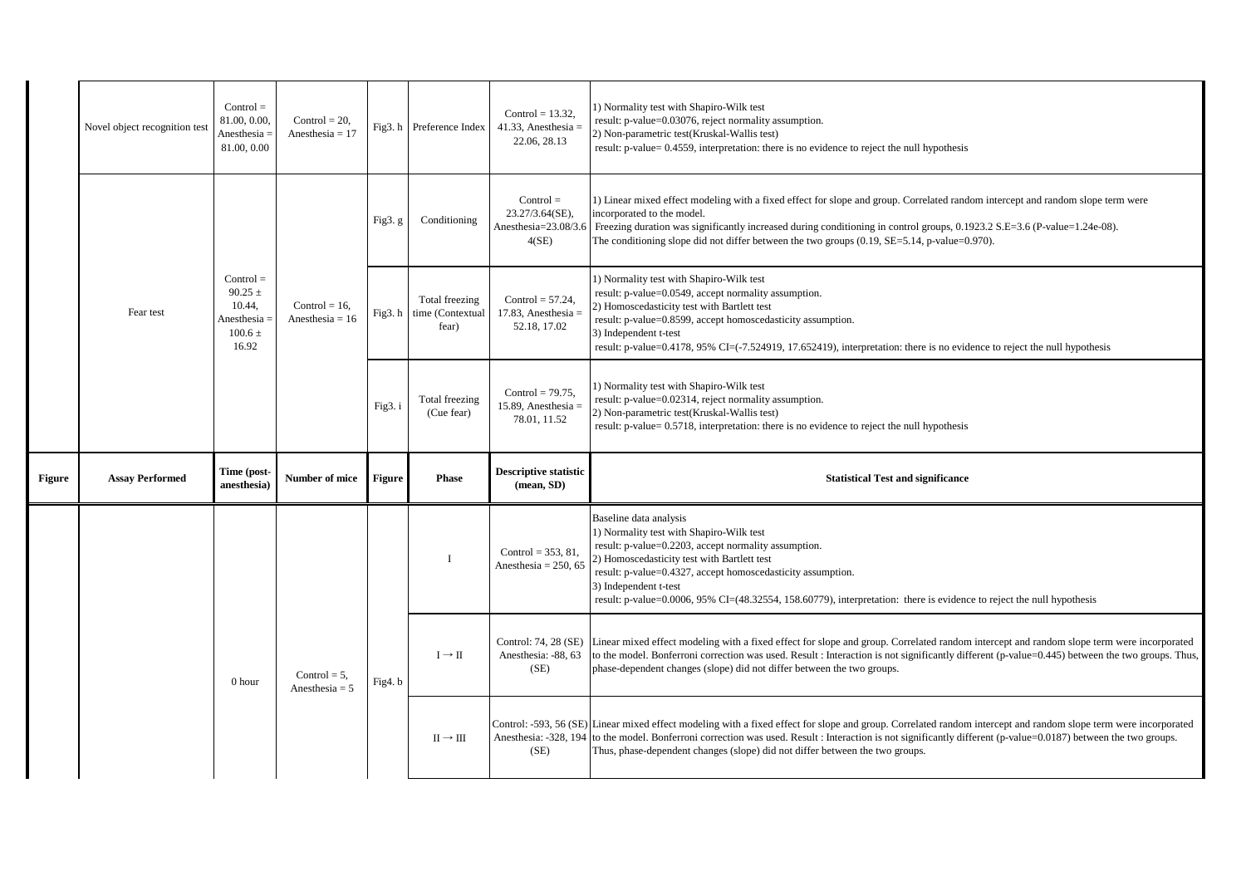|        | Novel object recognition test | $Control =$<br>81.00, 0.00.<br>Anesthesia =<br>81.00, 0.00                     | Control = $20$ ,<br>Anesthesia = $17$ | Fig3.h                 | Preference Index                            | Control = $13.32$ .<br>41.33, Anesthesia $=$<br>22.06, 28.13       | 1) Normality test with Shapiro-Wilk test<br>result: p-value=0.03076, reject normality assumption.<br>2) Non-parametric test(Kruskal-Wallis test)<br>result: p-value= 0.4559, interpretation: there is no evidence to reject the null hypothesis                                                                                                                                               |
|--------|-------------------------------|--------------------------------------------------------------------------------|---------------------------------------|------------------------|---------------------------------------------|--------------------------------------------------------------------|-----------------------------------------------------------------------------------------------------------------------------------------------------------------------------------------------------------------------------------------------------------------------------------------------------------------------------------------------------------------------------------------------|
|        |                               |                                                                                |                                       | Fig <sub>3</sub> . $g$ | Conditioning                                | $Control =$<br>23.27/3.64(SE),<br>Anesthesia=23.08/3.6<br>$4$ (SE) | 1) Linear mixed effect modeling with a fixed effect for slope and group. Correlated random intercept and random slope term were<br>incorporated to the model.<br>Freezing duration was significantly increased during conditioning in control groups, 0.1923.2 S.E=3.6 (P-value=1.24e-08).<br>The conditioning slope did not differ between the two groups $(0.19, SE=5.14, p-value=0.970)$ . |
|        | Fear test                     | $Control =$<br>$90.25 \pm$<br>10.44,<br>Anesthesia $=$<br>$100.6 \pm$<br>16.92 | Control = $16$ ,<br>Anesthesia = $16$ | Fig3.h                 | Total freezing<br>time (Contextual<br>fear) | Control = $57.24$ .<br>17.83, Anesthesia $=$<br>52.18, 17.02       | 1) Normality test with Shapiro-Wilk test<br>result: p-value=0.0549, accept normality assumption.<br>2) Homoscedasticity test with Bartlett test<br>result: p-value=0.8599, accept homoscedasticity assumption.<br>3) Independent t-test<br>result: p-value=0.4178, 95% CI=(-7.524919, 17.652419), interpretation: there is no evidence to reject the null hypothesis                          |
|        |                               |                                                                                |                                       | Fig3. i                | Total freezing<br>(Cue fear)                | Control = $79.75$ ,<br>15.89, Anesthesia $=$<br>78.01, 11.52       | 1) Normality test with Shapiro-Wilk test<br>result: p-value=0.02314, reject normality assumption.<br>2) Non-parametric test(Kruskal-Wallis test)<br>result: p-value= 0.5718, interpretation: there is no evidence to reject the null hypothesis                                                                                                                                               |
| Figure | <b>Assay Performed</b>        | Time (post-<br>anesthesia)                                                     | <b>Number of mice</b>                 | Figure                 | <b>Phase</b>                                | <b>Descriptive statistic</b><br>(mean, SD)                         | <b>Statistical Test and significance</b>                                                                                                                                                                                                                                                                                                                                                      |
|        |                               |                                                                                |                                       |                        | $\mathbf I$                                 | Control = $353, 81,$<br>Anesthesia = $250, 65$                     | Baseline data analysis<br>1) Normality test with Shapiro-Wilk test<br>result: p-value=0.2203, accept normality assumption.<br>2) Homoscedasticity test with Bartlett test<br>result: p-value=0.4327, accept homoscedasticity assumption.<br>3) Independent t-test<br>result: p-value=0.0006, 95% CI=(48.32554, 158.60779), interpretation: there is evidence to reject the null hypothesis    |
|        |                               | 0 hour                                                                         | Control = $5$ ,<br>Anesthesia = $5$   | Fig4. b                | $I \rightarrow II$                          | Control: 74, 28 (SE)<br>Anesthesia: -88, 63<br>(SE)                | Linear mixed effect modeling with a fixed effect for slope and group. Correlated random intercept and random slope term were incorporated<br>to the model. Bonferroni correction was used. Result : Interaction is not significantly different (p-value=0.445) between the two groups. Thus,<br>phase-dependent changes (slope) did not differ between the two groups.                        |
|        |                               |                                                                                |                                       |                        |                                             |                                                                    |                                                                                                                                                                                                                                                                                                                                                                                               |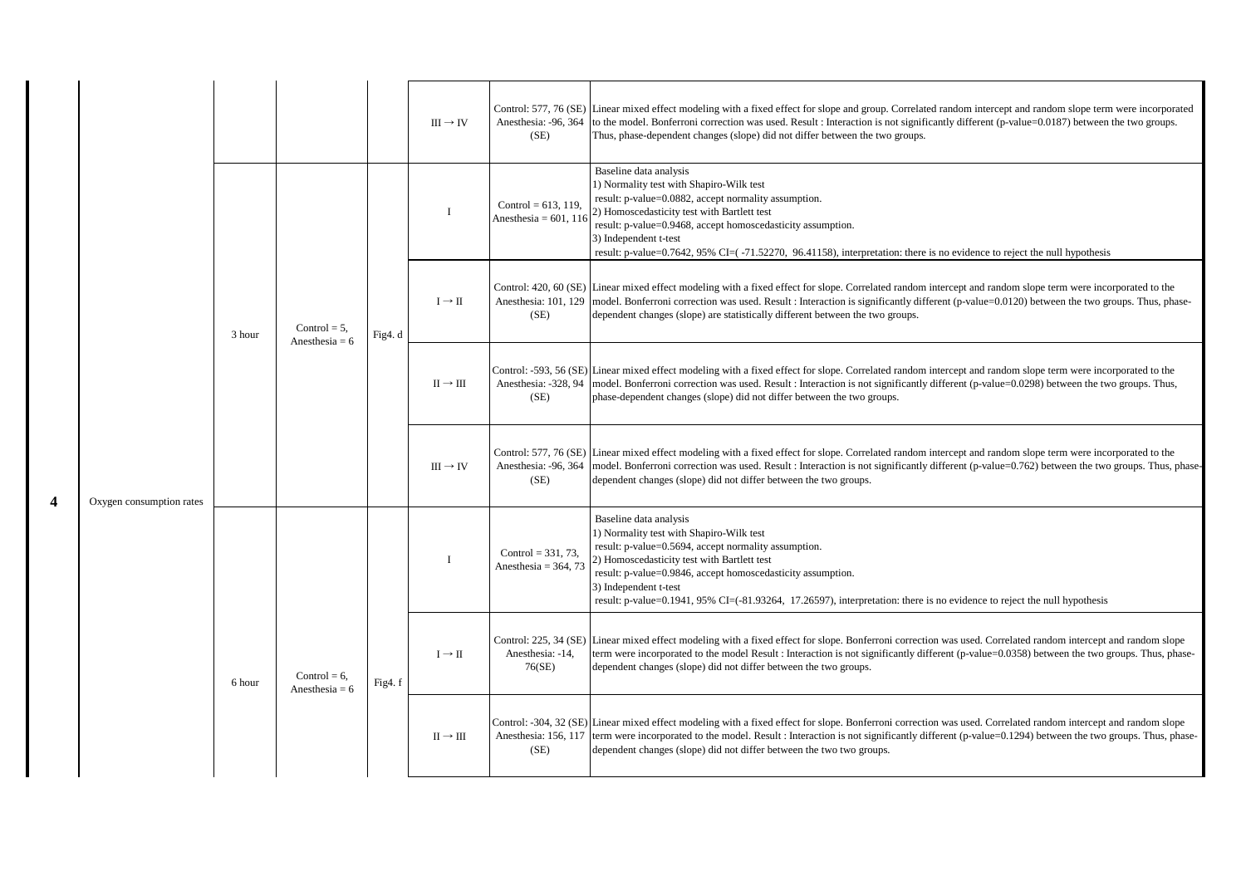|                          |        |                                     |         | $III \rightarrow IV$ | Anesthesia: -96, 364<br>(SE)                   | Control: 577, 76 (SE) Linear mixed effect modeling with a fixed effect for slope and group. Correlated random intercept and random slope term were incorporated<br>to the model. Bonferroni correction was used. Result : Interaction is not significantly different (p-value=0.0187) between the two groups.<br>Thus, phase-dependent changes (slope) did not differ between the two groups.                 |
|--------------------------|--------|-------------------------------------|---------|----------------------|------------------------------------------------|---------------------------------------------------------------------------------------------------------------------------------------------------------------------------------------------------------------------------------------------------------------------------------------------------------------------------------------------------------------------------------------------------------------|
|                          |        |                                     |         | $\mathbf{I}$         | Control = $613, 119$<br>Anesthesia = $601, 11$ | Baseline data analysis<br>1) Normality test with Shapiro-Wilk test<br>result: p-value=0.0882, accept normality assumption.<br>2) Homoscedasticity test with Bartlett test<br>result: p-value=0.9468, accept homoscedasticity assumption.<br>3) Independent t-test<br>result: p-value=0.7642, 95% CI=(-71.52270, 96.41158), interpretation: there is no evidence to reject the null hypothesis                 |
|                          | 3 hour | Control = $5$ ,<br>Anesthesia = $6$ | Fig4. d | $I \rightarrow II$   | Anesthesia: 101, 129<br>(SE)                   | Control: 420, 60 (SE) Linear mixed effect modeling with a fixed effect for slope. Correlated random intercept and random slope term were incorporated to the<br>model. Bonferroni correction was used. Result : Interaction is significantly different (p-value=0.0120) between the two groups. Thus, phase-<br>dependent changes (slope) are statistically different between the two groups.                 |
|                          |        |                                     |         | $II \rightarrow III$ | Anesthesia: -328, 94<br>(SE)                   | Control: -593, 56 (SE) Linear mixed effect modeling with a fixed effect for slope. Correlated random intercept and random slope term were incorporated to the<br>model. Bonferroni correction was used. Result : Interaction is not significantly different (p-value=0.0298) between the two groups. Thus,<br>phase-dependent changes (slope) did not differ between the two groups.                          |
| Oxygen consumption rates |        |                                     |         | $III \rightarrow IV$ | Anesthesia: -96, 364<br>(SE)                   | Control: 577, 76 (SE) Linear mixed effect modeling with a fixed effect for slope. Correlated random intercept and random slope term were incorporated to the<br>model. Bonferroni correction was used. Result : Interaction is not significantly different (p-value=0.762) between the two groups. Thus, phase-<br>dependent changes (slope) did not differ between the two groups.                           |
|                          |        |                                     |         | I                    | Control = $331, 73,$<br>Anesthesia = $364, 73$ | Baseline data analysis<br>1) Normality test with Shapiro-Wilk test<br>result: p-value=0.5694, accept normality assumption.<br>2) Homoscedasticity test with Bartlett test<br>result: p-value=0.9846, accept homoscedasticity assumption.<br>3) Independent t-test<br>result: p-value=0.1941, 95% CI=(-81.93264, 17.26597), interpretation: there is no evidence to reject the null hypothesis                 |
|                          | 6 hour | Control = $6$ ,<br>Anesthesia = $6$ | Fig4.f  | $I \rightarrow II$   | Anesthesia: -14,<br>76(SE)                     | Control: 225, 34 (SE) Linear mixed effect modeling with a fixed effect for slope. Bonferroni correction was used. Correlated random intercept and random slope<br>term were incorporated to the model Result : Interaction is not significantly different (p-value=0.0358) between the two groups. Thus, phase-<br>dependent changes (slope) did not differ between the two groups.                           |
|                          |        |                                     |         | $II \rightarrow III$ | (SE)                                           | Control: -304, 32 (SE) Linear mixed effect modeling with a fixed effect for slope. Bonferroni correction was used. Correlated random intercept and random slope<br>Anesthesia: 156, 117 term were incorporated to the model. Result: Interaction is not significantly different (p-value=0.1294) between the two groups. Thus, phase-<br>dependent changes (slope) did not differ between the two two groups. |

**4**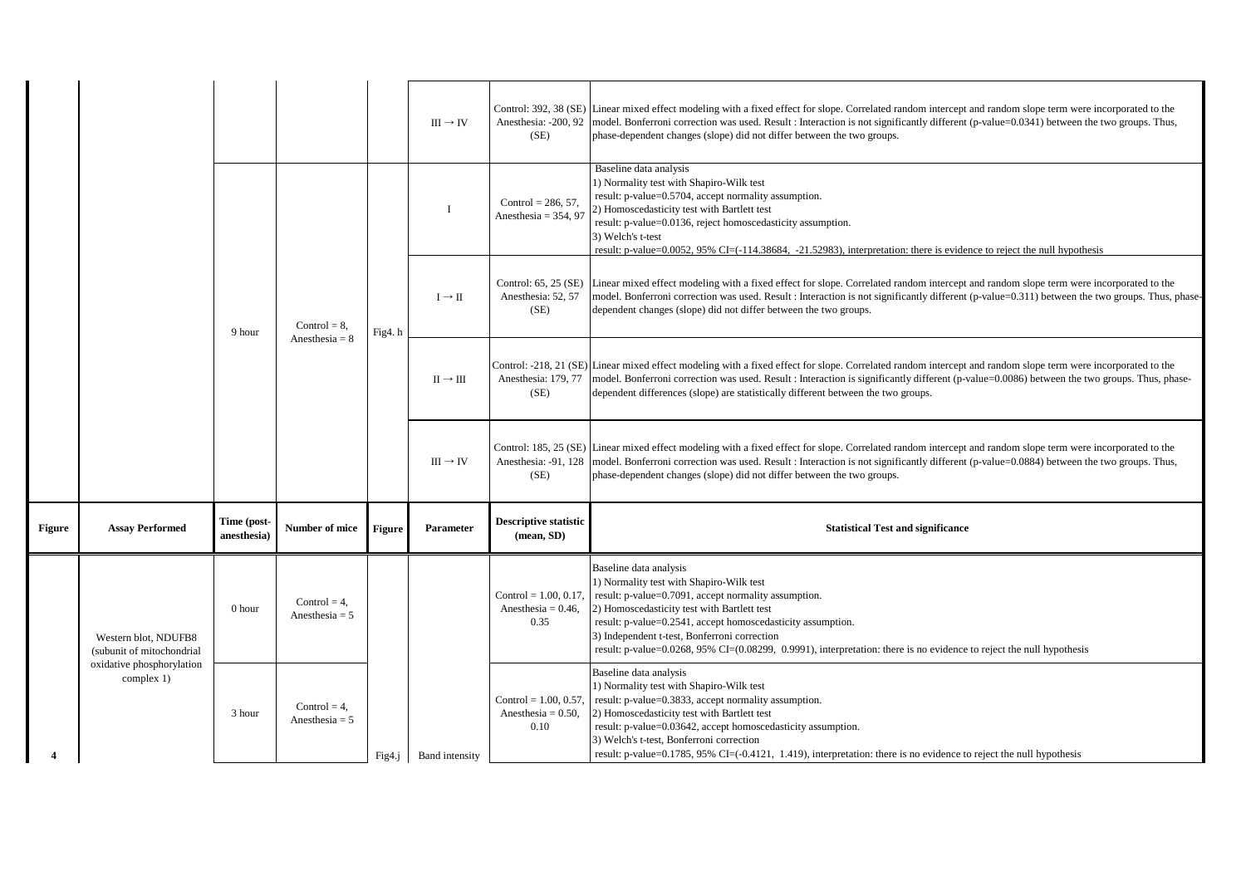|               |                                                   |                            |                                     |        | $III \rightarrow IV$ | Anesthesia: -200, 92<br>(SE)                              | Control: 392, 38 (SE) Linear mixed effect modeling with a fixed effect for slope. Correlated random intercept and random slope term were incorporated to the<br>model. Bonferroni correction was used. Result : Interaction is not significantly different (p-value=0.0341) between the two groups. Thus,<br>phase-dependent changes (slope) did not differ between the two groups.                              |
|---------------|---------------------------------------------------|----------------------------|-------------------------------------|--------|----------------------|-----------------------------------------------------------|------------------------------------------------------------------------------------------------------------------------------------------------------------------------------------------------------------------------------------------------------------------------------------------------------------------------------------------------------------------------------------------------------------------|
|               |                                                   |                            |                                     |        |                      | Control = $286, 57$ ,<br>Anesthesia = $354, 97$           | Baseline data analysis<br>1) Normality test with Shapiro-Wilk test<br>result: p-value=0.5704, accept normality assumption.<br>2) Homoscedasticity test with Bartlett test<br>result: p-value=0.0136, reject homoscedasticity assumption.<br>3) Welch's t-test<br>result: p-value=0.0052, 95% CI=(-114.38684, -21.52983), interpretation: there is evidence to reject the null hypothesis                         |
|               |                                                   | 9 hour                     | $Control = 8$ .<br>Anesthesia = $8$ | Fig4.h | $I \rightarrow II$   | Control: 65, 25 (SE)<br>Anesthesia: 52, 57<br>(SE)        | Linear mixed effect modeling with a fixed effect for slope. Correlated random intercept and random slope term were incorporated to the<br>model. Bonferroni correction was used. Result : Interaction is not significantly different (p-value=0.311) between the two groups. Thus, phase-<br>dependent changes (slope) did not differ between the two groups.                                                    |
|               |                                                   |                            |                                     |        | $II \rightarrow III$ | Anesthesia: 179, 77<br>(SE)                               | Control: -218, 21 (SE) Linear mixed effect modeling with a fixed effect for slope. Correlated random intercept and random slope term were incorporated to the<br>model. Bonferroni correction was used. Result : Interaction is significantly different (p-value=0.0086) between the two groups. Thus, phase-<br>dependent differences (slope) are statistically different between the two groups.               |
|               |                                                   |                            |                                     |        | $III \rightarrow IV$ | Anesthesia: -91, 128<br>(SE)                              | Control: 185, 25 (SE) Linear mixed effect modeling with a fixed effect for slope. Correlated random intercept and random slope term were incorporated to the<br>model. Bonferroni correction was used. Result : Interaction is not significantly different (p-value=0.0884) between the two groups. Thus,<br>phase-dependent changes (slope) did not differ between the two groups.                              |
| <b>Figure</b> | <b>Assay Performed</b>                            | Time (post-<br>anesthesia) | Number of mice                      | Figure | Parameter            | <b>Descriptive statistic</b><br>$(\text{mean}, SD)$       | <b>Statistical Test and significance</b>                                                                                                                                                                                                                                                                                                                                                                         |
|               | Western blot, NDUFB8<br>(subunit of mitochondrial | 0 hour                     | Control = $4$ ,<br>Anesthesia = $5$ |        |                      | Control = $1.00, 0.17$ ,<br>Anesthesia = $0.46$ ,<br>0.35 | Baseline data analysis<br>1) Normality test with Shapiro-Wilk test<br>result: p-value=0.7091, accept normality assumption.<br>2) Homoscedasticity test with Bartlett test<br>result: p-value=0.2541, accept homoscedasticity assumption.<br>3) Independent t-test, Bonferroni correction<br>result: p-value=0.0268, 95% CI=(0.08299, 0.9991), interpretation: there is no evidence to reject the null hypothesis |
|               | oxidative phosphorylation<br>complex 1)           | 3 hour                     | Control = $4$ .<br>Anesthesia = $5$ | Fig4.1 | Band intensity       | Control = $1.00, 0.57$ ,<br>Anesthesia = $0.50$ ,<br>0.10 | Baseline data analysis<br>1) Normality test with Shapiro-Wilk test<br>result: p-value=0.3833, accept normality assumption.<br>2) Homoscedasticity test with Bartlett test<br>result: p-value=0.03642, accept homoscedasticity assumption.<br>3) Welch's t-test, Bonferroni correction<br>result: p-value=0.1785, 95% CI=(-0.4121, 1.419), interpretation: there is no evidence to reject the null hypothesis     |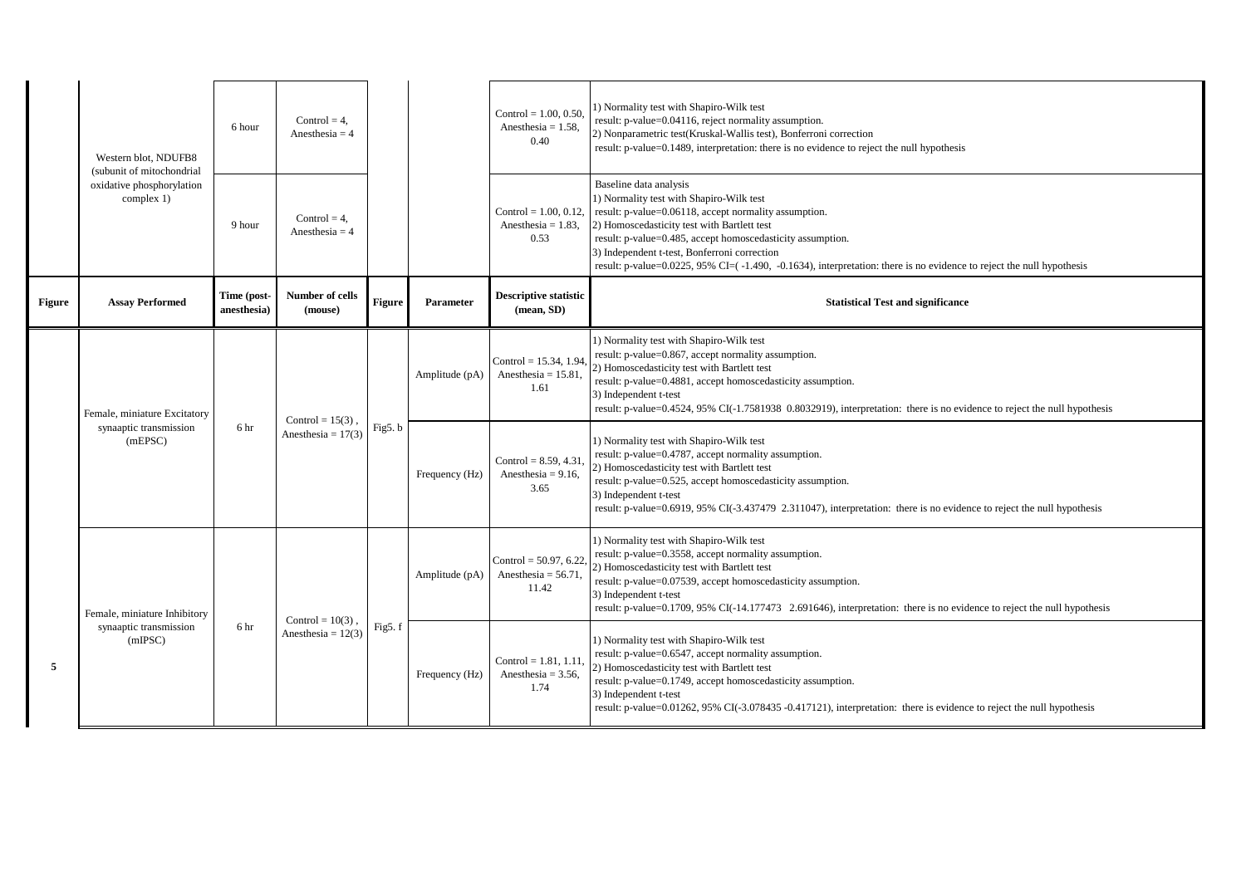|               | Western blot, NDUFB8                                                 | 6 hour                     | Control = $4$ .<br>Anesthesia = $4$         |        |                | Control = $1.00, 0.50$ ,<br>Anesthesia = $1.58$ ,<br>0.40  | 1) Normality test with Shapiro-Wilk test<br>result: p-value=0.04116, reject normality assumption.<br>2) Nonparametric test(Kruskal-Wallis test), Bonferroni correction<br>result: p-value=0.1489, interpretation: there is no evidence to reject the null hypothesis                                                                                                                                                     |
|---------------|----------------------------------------------------------------------|----------------------------|---------------------------------------------|--------|----------------|------------------------------------------------------------|--------------------------------------------------------------------------------------------------------------------------------------------------------------------------------------------------------------------------------------------------------------------------------------------------------------------------------------------------------------------------------------------------------------------------|
|               | (subunit of mitochondrial<br>oxidative phosphorylation<br>complex 1) | 9 hour                     | $Control = 4$ .<br>Anesthesia = $4$         |        |                | Control = $1.00, 0.12$ ,<br>Anesthesia = $1.83$ ,<br>0.53  | Baseline data analysis<br>1) Normality test with Shapiro-Wilk test<br>result: p-value=0.06118, accept normality assumption.<br>2) Homoscedasticity test with Bartlett test<br>result: p-value=0.485, accept homoscedasticity assumption.<br>3) Independent t-test, Bonferroni correction<br>result: p-value= $0.0225$ , 95% CI= $(-1.490, -0.1634)$ , interpretation: there is no evidence to reject the null hypothesis |
| <b>Figure</b> | <b>Assay Performed</b>                                               | Time (post-<br>anesthesia) | Number of cells<br>(mouse)                  | Figure | Parameter      | <b>Descriptive statistic</b><br>(mean, SD)                 | <b>Statistical Test and significance</b>                                                                                                                                                                                                                                                                                                                                                                                 |
|               | Female, miniature Excitatory                                         | 6 hr                       | Control = $15(3)$ .<br>Anesthesia = $17(3)$ | Fig5.b | Amplitude (pA) | Control = $15.34$ , 1.94<br>Anesthesia = $15.81$ ,<br>1.61 | 1) Normality test with Shapiro-Wilk test<br>result: p-value=0.867, accept normality assumption.<br>2) Homoscedasticity test with Bartlett test<br>result: p-value=0.4881, accept homoscedasticity assumption.<br>3) Independent t-test<br>result: p-value=0.4524, 95% CI(-1.7581938 0.8032919), interpretation: there is no evidence to reject the null hypothesis                                                       |
|               | synaaptic transmission<br>(mEPSC)                                    |                            |                                             |        | Frequency (Hz) | Control = $8.59, 4.31$<br>Anesthesia = $9.16$ ,<br>3.65    | 1) Normality test with Shapiro-Wilk test<br>result: p-value=0.4787, accept normality assumption.<br>2) Homoscedasticity test with Bartlett test<br>result: p-value=0.525, accept homoscedasticity assumption.<br>3) Independent t-test<br>result: p-value=0.6919, 95% CI(-3.437479 2.311047), interpretation: there is no evidence to reject the null hypothesis                                                         |
|               | Female, miniature Inhibitory<br>synaaptic transmission<br>(mIPSC)    |                            | Control = $10(3)$                           | Fig5.f | Amplitude (pA) | Control = $50.97, 6.22$<br>Anesthesia = $56.71$ .<br>11.42 | 1) Normality test with Shapiro-Wilk test<br>result: p-value=0.3558, accept normality assumption.<br>2) Homoscedasticity test with Bartlett test<br>result: p-value=0.07539, accept homoscedasticity assumption.<br>3) Independent t-test<br>result: p-value=0.1709, 95% CI(-14.177473 2.691646), interpretation: there is no evidence to reject the null hypothesis                                                      |
| 5             |                                                                      | 6 hr                       | Anesthesia = $12(3)$                        |        | Frequency (Hz) | Control = $1.81, 1.11$<br>Anesthesia = $3.56$ ,<br>1.74    | 1) Normality test with Shapiro-Wilk test<br>result: p-value=0.6547, accept normality assumption.<br>2) Homoscedasticity test with Bartlett test<br>result: p-value=0.1749, accept homoscedasticity assumption.<br>3) Independent t-test<br>result: p-value=0.01262, 95% CI(-3.078435 -0.417121), interpretation: there is evidence to reject the null hypothesis                                                         |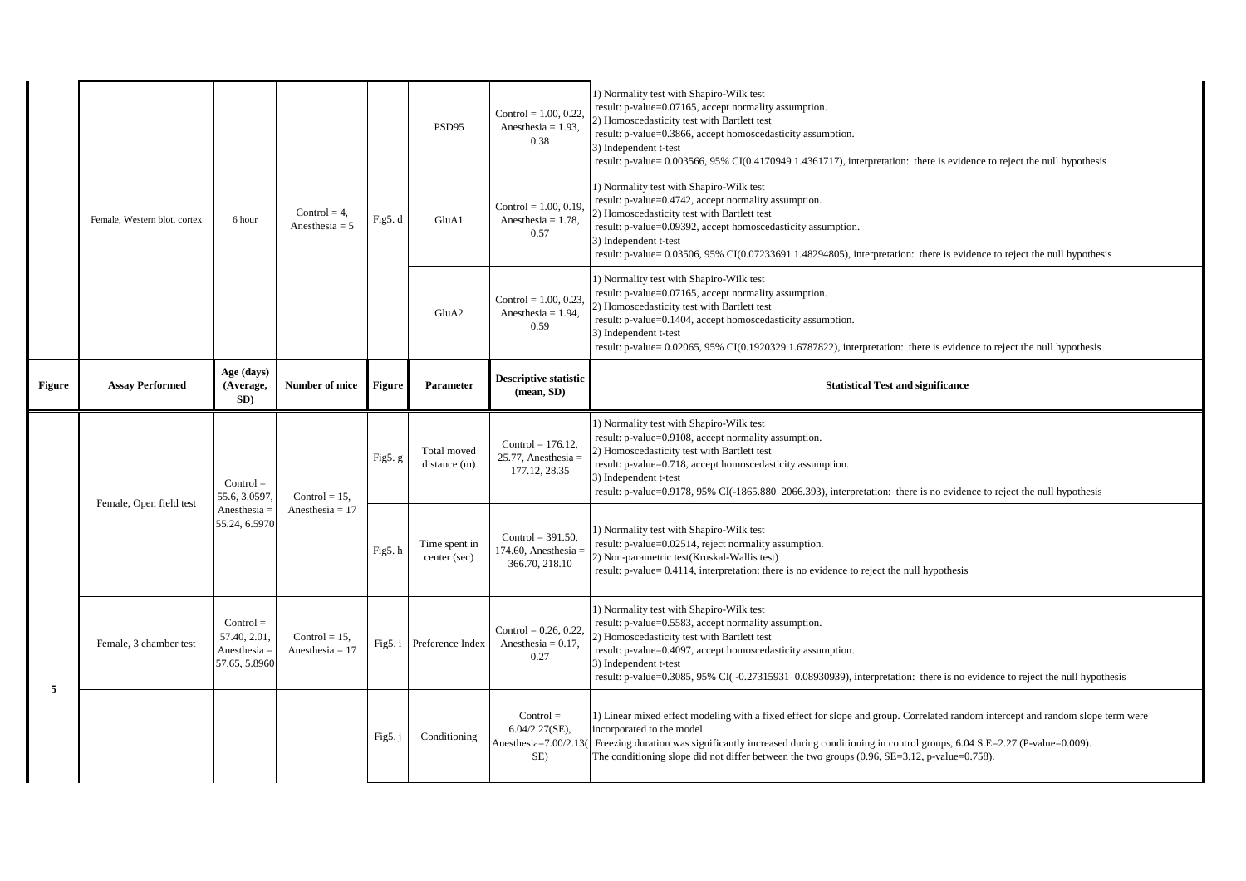|               |                                                                      | 6 hour                                                     | Control = $4$ ,<br>Anesthesia = $5$   | Fig5.d    | PSD95                         | Control = $1.00, 0.22$<br>Anesthesia = $1.93$ ,<br>0.38         | 1) Normality test with Shapiro-Wilk test<br>result: p-value=0.07165, accept normality assumption.<br>2) Homoscedasticity test with Bartlett test<br>result: p-value=0.3866, accept homoscedasticity assumption.<br>3) Independent t-test<br>result: p-value= 0.003566, 95% CI(0.4170949 1.4361717), interpretation: there is evidence to reject the null hypothesis                     |
|---------------|----------------------------------------------------------------------|------------------------------------------------------------|---------------------------------------|-----------|-------------------------------|-----------------------------------------------------------------|-----------------------------------------------------------------------------------------------------------------------------------------------------------------------------------------------------------------------------------------------------------------------------------------------------------------------------------------------------------------------------------------|
|               | Female, Western blot, cortex                                         |                                                            |                                       |           | GluA1                         | Control = $1.00, 0.19$<br>Anesthesia = $1.78$ ,<br>0.57         | 1) Normality test with Shapiro-Wilk test<br>result: p-value=0.4742, accept normality assumption.<br>2) Homoscedasticity test with Bartlett test<br>result: p-value=0.09392, accept homoscedasticity assumption.<br>3) Independent t-test<br>result: p-value= 0.03506, 95% CI(0.07233691 1.48294805), interpretation: there is evidence to reject the null hypothesis                    |
|               |                                                                      |                                                            |                                       |           | GluA2                         | Control = $1.00, 0.23$<br>Anesthesia = $1.94$ ,<br>0.59         | 1) Normality test with Shapiro-Wilk test<br>result: p-value=0.07165, accept normality assumption.<br>2) Homoscedasticity test with Bartlett test<br>result: p-value=0.1404, accept homoscedasticity assumption.<br>3) Independent t-test<br>result: p-value= 0.02065, 95% CI(0.1920329 1.6787822), interpretation: there is evidence to reject the null hypothesis                      |
| <b>Figure</b> | <b>Assay Performed</b>                                               | Age (days)<br>(Average.<br>SD)                             | Number of mice                        | Figure    | Parameter                     | <b>Descriptive statistic</b><br>$(\text{mean}, SD)$             | <b>Statistical Test and significance</b>                                                                                                                                                                                                                                                                                                                                                |
|               | $Control =$<br>55.6, 3.0597<br>Female, Open field test<br>Anesthesia |                                                            | Control = $15$ ,<br>Anesthesia = $17$ | Fig5.g    | Total moved<br>distance(m)    | Control = $176.12$ .<br>$25.77$ , Anesthesia =<br>177.12, 28.35 | 1) Normality test with Shapiro-Wilk test<br>result: p-value=0.9108, accept normality assumption.<br>2) Homoscedasticity test with Bartlett test<br>result: p-value=0.718, accept homoscedasticity assumption.<br>3) Independent t-test<br>result: p-value=0.9178, 95% CI(-1865.880 2066.393), interpretation: there is no evidence to reject the null hypothesis                        |
|               |                                                                      | 55.24, 6.5970                                              |                                       | Fig5.h    | Time spent in<br>center (sec) | Control = $391.50$ ,<br>74.60, Anesthesia:<br>366.70, 218.10    | 1) Normality test with Shapiro-Wilk test<br>result: p-value=0.02514, reject normality assumption.<br>2) Non-parametric test(Kruskal-Wallis test)<br>result: p-value= 0.4114, interpretation: there is no evidence to reject the null hypothesis                                                                                                                                         |
| 5             | Female, 3 chamber test                                               | $Control =$<br>57.40, 2.01.<br>Anesthesia<br>57.65, 5.8960 | Control = $15$ ,<br>Anesthesia = $17$ |           | Fig5. i Preference Index      | Control = $0.26, 0.22$<br>Anesthesia = $0.17$ ,<br>0.27         | 1) Normality test with Shapiro-Wilk test<br>result: p-value=0.5583, accept normality assumption.<br>2) Homoscedasticity test with Bartlett test<br>result: p-value=0.4097, accept homoscedasticity assumption.<br>3) Independent t-test<br>result: p-value=0.3085, 95% CI(-0.27315931 0.08930939), interpretation: there is no evidence to reject the null hypothesis                   |
|               |                                                                      |                                                            |                                       | Fig5. $j$ | Conditioning                  | $Control =$<br>$6.04/2.27$ (SE),<br>Anesthesia=7.00/2.13<br>SE) | 1) Linear mixed effect modeling with a fixed effect for slope and group. Correlated random intercept and random slope term were<br>incorporated to the model.<br>Freezing duration was significantly increased during conditioning in control groups, 6.04 S.E=2.27 (P-value=0.009).<br>The conditioning slope did not differ between the two groups $(0.96, SE=3.12, p-value=0.758)$ . |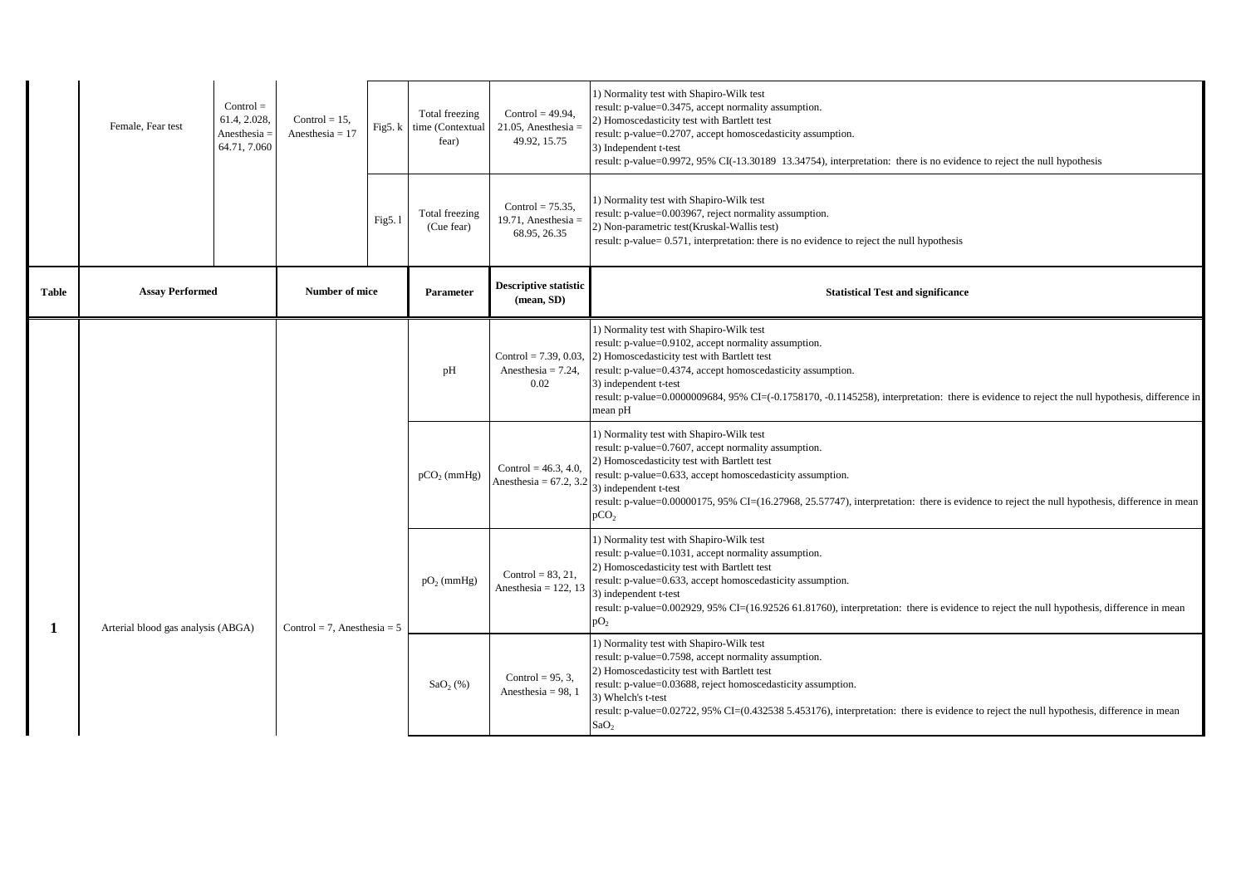|              | Female, Fear test                  | $Control =$<br>61.4, 2.028<br>Anesthesia<br>64.71, 7.060 | Control = $15$ ,<br>Anesthesia = $17$ | Fig5. $k$ | Total freezing<br>time (Contextual<br>fear) | Control = $49.94$ ,<br>21.05, Anesthesia =<br>49.92, 15.75 | 1) Normality test with Shapiro-Wilk test<br>result: p-value=0.3475, accept normality assumption.<br>2) Homoscedasticity test with Bartlett test<br>result: p-value=0.2707, accept homoscedasticity assumption.<br>3) Independent t-test<br>result: p-value=0.9972, 95% CI(-13.30189 13.34754), interpretation: there is no evidence to reject the null hypothesis                                          |
|--------------|------------------------------------|----------------------------------------------------------|---------------------------------------|-----------|---------------------------------------------|------------------------------------------------------------|------------------------------------------------------------------------------------------------------------------------------------------------------------------------------------------------------------------------------------------------------------------------------------------------------------------------------------------------------------------------------------------------------------|
|              |                                    |                                                          |                                       | Fig5.1    | Total freezing<br>(Cue fear)                | Control = $75.35$ ,<br>19.71, Anesthesia =<br>68.95, 26.35 | 1) Normality test with Shapiro-Wilk test<br>result: p-value=0.003967, reject normality assumption.<br>2) Non-parametric test(Kruskal-Wallis test)<br>result: p-value= 0.571, interpretation: there is no evidence to reject the null hypothesis                                                                                                                                                            |
| <b>Table</b> | <b>Assay Performed</b>             |                                                          | Number of mice                        |           | <b>Parameter</b>                            | <b>Descriptive statistic</b><br>(mean, SD)                 | <b>Statistical Test and significance</b>                                                                                                                                                                                                                                                                                                                                                                   |
|              |                                    |                                                          |                                       |           | pH                                          | Control = $7.39, 0.03$<br>Anesthesia = $7.24$ ,<br>0.02    | 1) Normality test with Shapiro-Wilk test<br>result: p-value=0.9102, accept normality assumption.<br>2) Homoscedasticity test with Bartlett test<br>result: p-value=0.4374, accept homoscedasticity assumption.<br>3) independent t-test<br>result: p-value=0.0000009684, 95% CI=(-0.1758170, -0.1145258), interpretation: there is evidence to reject the null hypothesis, difference in<br>mean pH        |
|              |                                    |                                                          |                                       |           | $pCO2$ (mmHg)                               | Control = $46.3, 4.0$ ,<br>Anesthesia = $67.2$ , 3.2       | 1) Normality test with Shapiro-Wilk test<br>result: p-value=0.7607, accept normality assumption.<br>2) Homoscedasticity test with Bartlett test<br>result: p-value=0.633, accept homoscedasticity assumption.<br>3) independent t-test<br>result: p-value=0.00000175, 95% CI=(16.27968, 25.57747), interpretation: there is evidence to reject the null hypothesis, difference in mean<br>pCO <sub>2</sub> |
| 1            | Arterial blood gas analysis (ABGA) |                                                          | Control = 7, Anesthesia = $5$         |           | $pO_2$ (mmHg)                               | Control = $83, 21,$<br>Anesthesia = $122, 13$              | 1) Normality test with Shapiro-Wilk test<br>result: p-value=0.1031, accept normality assumption.<br>2) Homoscedasticity test with Bartlett test<br>result: p-value=0.633, accept homoscedasticity assumption.<br>3) independent t-test<br>result: p-value=0.002929, 95% CI=(16.92526 61.81760), interpretation: there is evidence to reject the null hypothesis, difference in mean<br>pO <sub>2</sub>     |
|              |                                    |                                                          |                                       |           | $SaO2(\%)$                                  | Control = $95, 3$ ,<br>Anesthesia = $98, 1$                | 1) Normality test with Shapiro-Wilk test<br>result: p-value=0.7598, accept normality assumption.<br>2) Homoscedasticity test with Bartlett test<br>result: p-value=0.03688, reject homoscedasticity assumption.<br>3) Whelch's t-test<br>result: p-value=0.02722, 95% CI=(0.432538 5.453176), interpretation: there is evidence to reject the null hypothesis, difference in mean<br>SaO <sub>2</sub>      |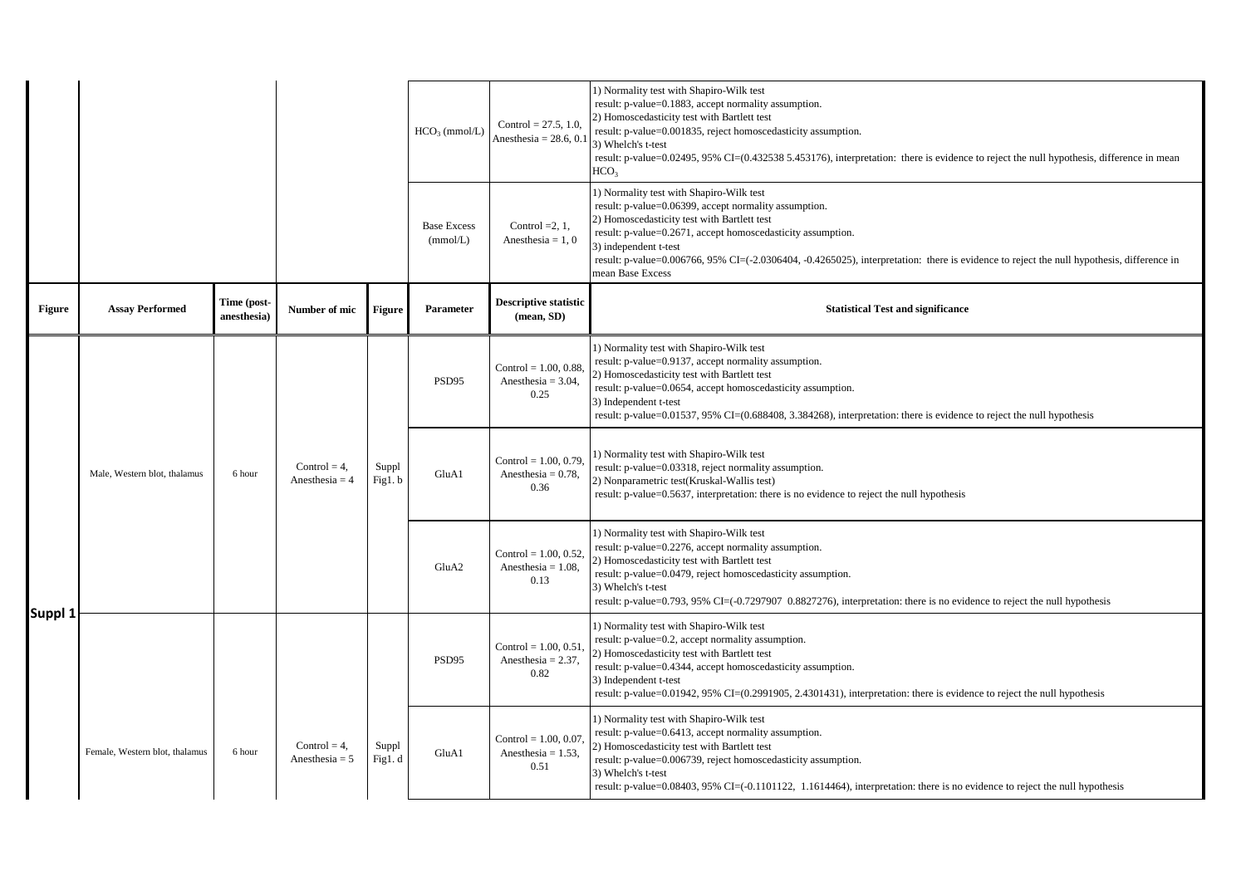|         |                                |                           |                                     |                  | $HCO3$ (mmol/L)                | Control = $27.5$ , 1.0<br>Anesthesia = $28.6$ , 0.        | 1) Normality test with Shapiro-Wilk test<br>result: p-value=0.1883, accept normality assumption.<br>2) Homoscedasticity test with Bartlett test<br>result: p-value=0.001835, reject homoscedasticity assumption.<br>3) Whelch's t-test<br>result: p-value=0.02495, 95% CI=(0.432538 5.453176), interpretation: there is evidence to reject the null hypothesis, difference in mean<br>HCO <sub>3</sub>    |
|---------|--------------------------------|---------------------------|-------------------------------------|------------------|--------------------------------|-----------------------------------------------------------|-----------------------------------------------------------------------------------------------------------------------------------------------------------------------------------------------------------------------------------------------------------------------------------------------------------------------------------------------------------------------------------------------------------|
|         |                                |                           |                                     |                  | <b>Base Excess</b><br>(mmol/L) | Control $=2, 1$ ,<br>Anesthesia = $1, 0$                  | 1) Normality test with Shapiro-Wilk test<br>result: p-value=0.06399, accept normality assumption.<br>2) Homoscedasticity test with Bartlett test<br>result: p-value=0.2671, accept homoscedasticity assumption.<br>3) independent t-test<br>result: p-value=0.006766, 95% CI=(-2.0306404, -0.4265025), interpretation: there is evidence to reject the null hypothesis, difference in<br>mean Base Excess |
| Figure  | <b>Assay Performed</b>         | Time (post<br>anesthesia) | Number of mic                       | Figure           | Parameter                      | <b>Descriptive statistic</b><br>$(\text{mean}, SD)$       | <b>Statistical Test and significance</b>                                                                                                                                                                                                                                                                                                                                                                  |
|         |                                |                           |                                     |                  | PSD95                          | Control = $1.00, 0.88$<br>Anesthesia = $3.04$ ,<br>0.25   | 1) Normality test with Shapiro-Wilk test<br>result: p-value=0.9137, accept normality assumption.<br>2) Homoscedasticity test with Bartlett test<br>result: p-value=0.0654, accept homoscedasticity assumption.<br>3) Independent t-test<br>result: p-value=0.01537, 95% CI=(0.688408, 3.384268), interpretation: there is evidence to reject the null hypothesis                                          |
|         | Male, Western blot, thalamus   | 6 hour                    | Control = $4$ ,<br>Anesthesia = $4$ | Suppl<br>Fig1.b  | GluA1                          | Control = $1.00, 0.79$ .<br>Anesthesia = $0.78$ ,<br>0.36 | 1) Normality test with Shapiro-Wilk test<br>result: p-value=0.03318, reject normality assumption.<br>2) Nonparametric test(Kruskal-Wallis test)<br>result: p-value=0.5637, interpretation: there is no evidence to reject the null hypothesis                                                                                                                                                             |
| Suppl 1 |                                |                           |                                     |                  | GluA <sub>2</sub>              | Control = $1.00, 0.52$ .<br>Anesthesia = $1.08$ ,<br>0.13 | 1) Normality test with Shapiro-Wilk test<br>result: p-value=0.2276, accept normality assumption.<br>2) Homoscedasticity test with Bartlett test<br>result: p-value=0.0479, reject homoscedasticity assumption.<br>3) Whelch's t-test<br>result: p-value=0.793, 95% CI=(-0.7297907 0.8827276), interpretation: there is no evidence to reject the null hypothesis                                          |
|         |                                |                           |                                     |                  | PSD95                          | Control = $1.00, 0.51$<br>Anesthesia = $2.37$ ,<br>0.82   | 1) Normality test with Shapiro-Wilk test<br>result: p-value=0.2, accept normality assumption.<br>2) Homoscedasticity test with Bartlett test<br>result: p-value=0.4344, accept homoscedasticity assumption.<br>3) Independent t-test<br>result: p-value=0.01942, 95% CI=(0.2991905, 2.4301431), interpretation: there is evidence to reject the null hypothesis                                           |
|         | Female, Western blot, thalamus | 6 hour                    | Control = $4$ ,<br>Anesthesia = $5$ | Suppl<br>Fig1. d | GluA1                          | Control = $1.00, 0.07$<br>Anesthesia = $1.53$ ,<br>0.51   | 1) Normality test with Shapiro-Wilk test<br>result: p-value=0.6413, accept normality assumption.<br>2) Homoscedasticity test with Bartlett test<br>result: p-value=0.006739, reject homoscedasticity assumption.<br>3) Whelch's t-test<br>result: p-value=0.08403, 95% CI=(-0.1101122, 1.1614464), interpretation: there is no evidence to reject the null hypothesis                                     |